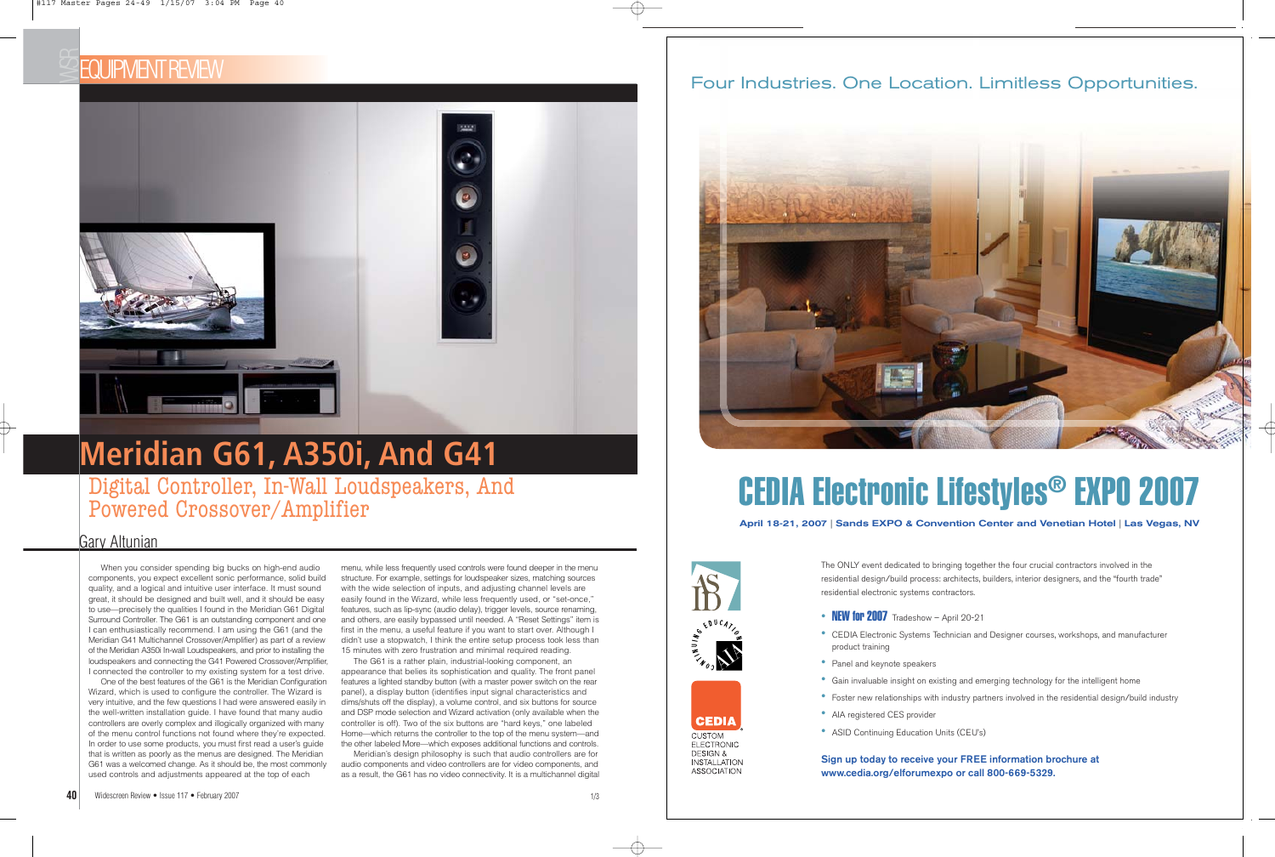## EQUIPMENT REVIEW



Digital Controller, In-Wall Loudspeakers, And Powered Crossover/Amplifier

When you consider spending big bucks on high-end audio components, you expect excellent sonic performance, solid build quality, and a logical and intuitive user interface. It must sound great, it should be designed and built well, and it should be easy to use—precisely the qualities I found in the Meridian G61 Digital Surround Controller. The G61 is an outstanding component and one I can enthusiastically recommend. I am using the G61 (and the Meridian G41 Multichannel Crossover/Amplifier) as part of a review of the Meridian A350i In-wall Loudspeakers, and prior to installing the loudspeakers and connecting the G41 Powered Crossover/Amplifier, I connected the controller to my existing system for a test drive.

One of the best features of the G61 is the Meridian Configuration Wizard, which is used to configure the controller. The Wizard is very intuitive, and the few questions I had were answered easily in the well-written installation guide. I have found that many audio controllers are overly complex and illogically organized with many of the menu control functions not found where they're expected. In order to use some products, you must first read a user's guide that is written as poorly as the menus are designed. The Meridian G61 was a welcomed change. As it should be, the most commonly used controls and adjustments appeared at the top of each

menu, while less frequently used controls were found deeper in the menu structure. For example, settings for loudspeaker sizes, matching sources with the wide selection of inputs, and adjusting channel levels are easily found in the Wizard, while less frequently used, or "set-once," features, such as lip-sync (audio delay), trigger levels, source renaming, and others, are easily bypassed until needed. A "Reset Settings" item is first in the menu, a useful feature if you want to start over. Although I didn't use a stopwatch, I think the entire setup process took less than 15 minutes with zero frustration and minimal required reading.

> • Gain invaluable insight on existing and emerging technology for the intelligent home • Foster new relationships with industry partners involved in the residential design/build industry

The G61 is a rather plain, industrial-looking component, an appearance that belies its sophistication and quality. The front panel features a lighted standby button (with a master power switch on the rear panel), a display button (identifies input signal characteristics and dims/shuts off the display), a volume control, and six buttons for source and DSP mode selection and Wizard activation (only available when the controller is off). Two of the six buttons are "hard keys," one labeled Home—which returns the controller to the top of the menu system—and the other labeled More—which exposes additional functions and controls.

Meridian's design philosophy is such that audio controllers are for audio components and video controllers are for video components, and as a result, the G61 has no video connectivity. It is a multichannel digital

### Gary Altunian

# **Meridian G61, A350i, And G41**

### Four Industries. One Location. Limitless Opportunities.



**April 18-21, 2007 | Sands EXPO & Convention Center and Venetian Hotel | Las Vegas, NV**

# [CEDIA Electronic Lifestyles®](http://www.cedia.org) EXPO 2007







**ELECTRONIC DESIGN & INSTALLATION ASSOCIATION**  The ONLY event dedicated to bringing together the four crucial contractors involved in the residential design/build process: architects, builders, interior designers, and the "fourth trade" residential electronic systems contractors.

- NEW for  $2007$  Tradeshow April 20-21
- product training
- Panel and keynote speakers
- 
- 
- AIA registered CES provider
- ASID Continuing Education Units (CEU's)

• CEDIA Electronic Systems Technician and Designer courses, workshops, and manufacturer

**Sign up today to receive your FREE information brochure at www.cedia.org/elforumexpo or call 800-669-5329.**